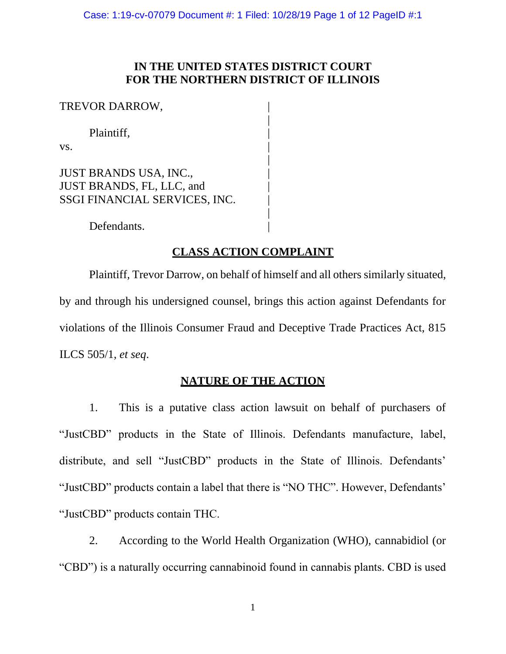# **IN THE UNITED STATES DISTRICT COURT FOR THE NORTHERN DISTRICT OF ILLINOIS**

|

|

|

TREVOR DARROW,

Plaintiff, |

 $\mathbf{v}\mathbf{s}$ .

JUST BRANDS USA, INC., JUST BRANDS, FL, LLC, and | SSGI FINANCIAL SERVICES, INC.

Defendants.

# **CLASS ACTION COMPLAINT**

Plaintiff, Trevor Darrow, on behalf of himself and all others similarly situated, by and through his undersigned counsel, brings this action against Defendants for violations of the Illinois Consumer Fraud and Deceptive Trade Practices Act, 815 ILCS 505/1, *et seq*.

# **NATURE OF THE ACTION**

1. This is a putative class action lawsuit on behalf of purchasers of "JustCBD" products in the State of Illinois. Defendants manufacture, label, distribute, and sell "JustCBD" products in the State of Illinois. Defendants' "JustCBD" products contain a label that there is "NO THC". However, Defendants' "JustCBD" products contain THC.

2. According to the World Health Organization (WHO), cannabidiol (or "CBD") is a naturally occurring cannabinoid found in cannabis plants. CBD is used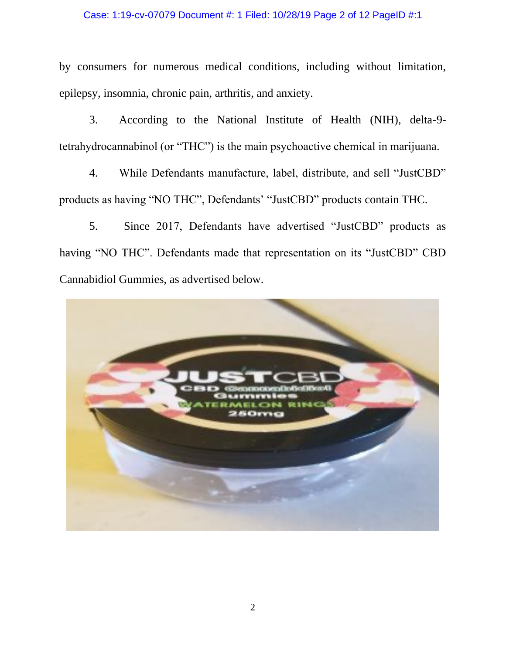### Case: 1:19-cv-07079 Document #: 1 Filed: 10/28/19 Page 2 of 12 PageID #:1

by consumers for numerous medical conditions, including without limitation, epilepsy, insomnia, chronic pain, arthritis, and anxiety.

3. According to the National Institute of Health (NIH), delta-9 tetrahydrocannabinol (or "THC") is the main psychoactive chemical in marijuana.

4. While Defendants manufacture, label, distribute, and sell "JustCBD" products as having "NO THC", Defendants' "JustCBD" products contain THC.

5. Since 2017, Defendants have advertised "JustCBD" products as having "NO THC". Defendants made that representation on its "JustCBD" CBD Cannabidiol Gummies, as advertised below.

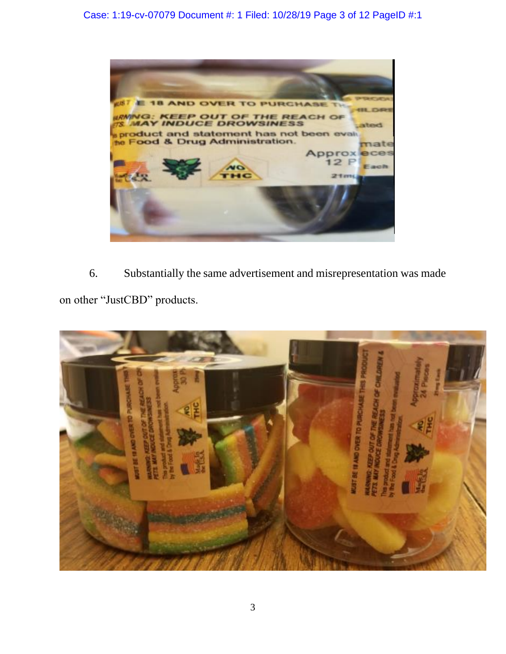

6. Substantially the same advertisement and misrepresentation was made on other "JustCBD" products.

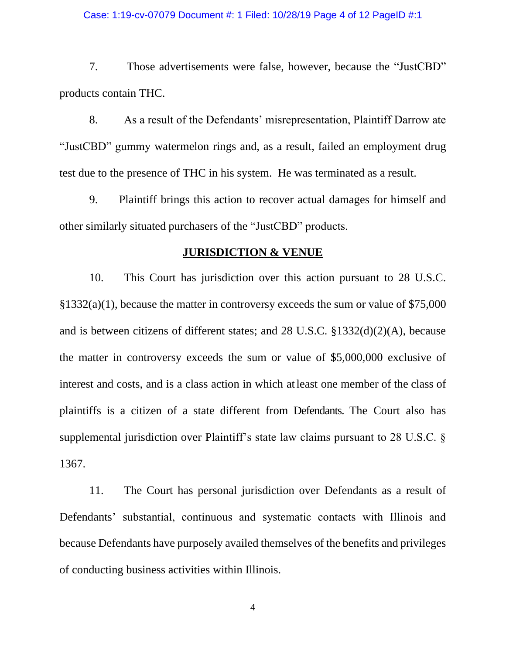#### Case: 1:19-cv-07079 Document #: 1 Filed: 10/28/19 Page 4 of 12 PageID #:1

7. Those advertisements were false, however, because the "JustCBD" products contain THC.

8. As a result of the Defendants' misrepresentation, Plaintiff Darrow ate "JustCBD" gummy watermelon rings and, as a result, failed an employment drug test due to the presence of THC in his system. He was terminated as a result.

9. Plaintiff brings this action to recover actual damages for himself and other similarly situated purchasers of the "JustCBD" products.

### **JURISDICTION & VENUE**

10. This Court has jurisdiction over this action pursuant to 28 U.S.C. §1332(a)(1), because the matter in controversy exceeds the sum or value of \$75,000 and is between citizens of different states; and 28 U.S.C. §1332(d)(2)(A), because the matter in controversy exceeds the sum or value of \$5,000,000 exclusive of interest and costs, and is a class action in which atleast one member of the class of plaintiffs is a citizen of a state different from Defendants. The Court also has supplemental jurisdiction over Plaintiff's state law claims pursuant to 28 U.S.C. § 1367.

11. The Court has personal jurisdiction over Defendants as a result of Defendants' substantial, continuous and systematic contacts with Illinois and because Defendants have purposely availed themselves of the benefits and privileges of conducting business activities within Illinois.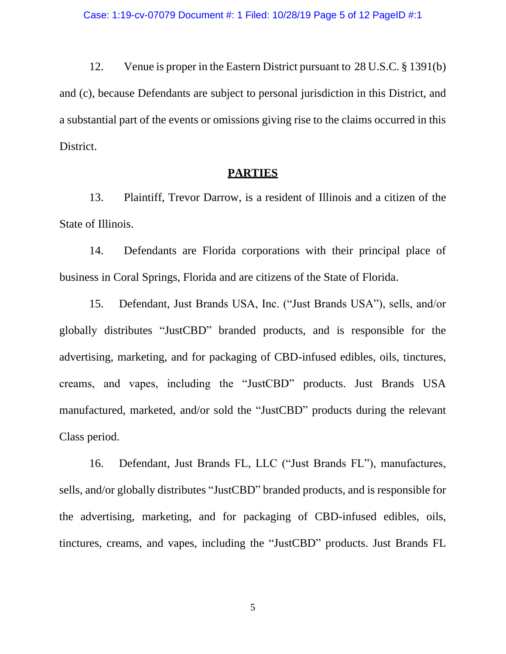12. Venue is proper in the Eastern District pursuant to 28 U.S.C. § 1391(b) and (c), because Defendants are subject to personal jurisdiction in this District, and a substantial part of the events or omissions giving rise to the claims occurred in this District.

### **PARTIES**

13. Plaintiff, Trevor Darrow, is a resident of Illinois and a citizen of the State of Illinois.

14. Defendants are Florida corporations with their principal place of business in Coral Springs, Florida and are citizens of the State of Florida.

15. Defendant, Just Brands USA, Inc. ("Just Brands USA"), sells, and/or globally distributes "JustCBD" branded products, and is responsible for the advertising, marketing, and for packaging of CBD-infused edibles, oils, tinctures, creams, and vapes, including the "JustCBD" products. Just Brands USA manufactured, marketed, and/or sold the "JustCBD" products during the relevant Class period.

16. Defendant, Just Brands FL, LLC ("Just Brands FL"), manufactures, sells, and/or globally distributes "JustCBD" branded products, and is responsible for the advertising, marketing, and for packaging of CBD-infused edibles, oils, tinctures, creams, and vapes, including the "JustCBD" products. Just Brands FL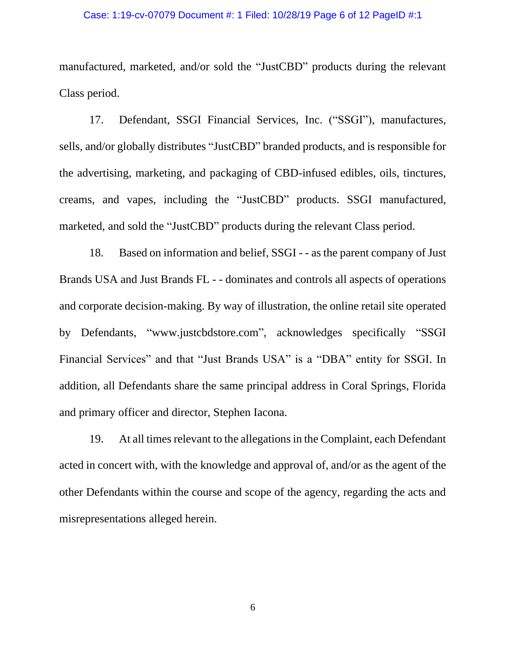#### Case: 1:19-cv-07079 Document #: 1 Filed: 10/28/19 Page 6 of 12 PageID #:1

manufactured, marketed, and/or sold the "JustCBD" products during the relevant Class period.

17. Defendant, SSGI Financial Services, Inc. ("SSGI"), manufactures, sells, and/or globally distributes "JustCBD" branded products, and is responsible for the advertising, marketing, and packaging of CBD-infused edibles, oils, tinctures, creams, and vapes, including the "JustCBD" products. SSGI manufactured, marketed, and sold the "JustCBD" products during the relevant Class period.

18. Based on information and belief, SSGI - - as the parent company of Just Brands USA and Just Brands FL - - dominates and controls all aspects of operations and corporate decision-making. By way of illustration, the online retail site operated by Defendants, "www.justcbdstore.com", acknowledges specifically "SSGI Financial Services" and that "Just Brands USA" is a "DBA" entity for SSGI. In addition, all Defendants share the same principal address in Coral Springs, Florida and primary officer and director, Stephen Iacona.

19. At all times relevant to the allegations in the Complaint, each Defendant acted in concert with, with the knowledge and approval of, and/or as the agent of the other Defendants within the course and scope of the agency, regarding the acts and misrepresentations alleged herein.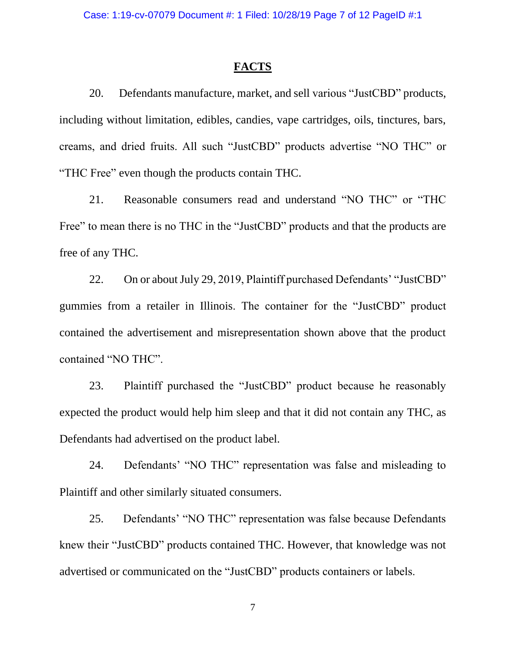### **FACTS**

20. Defendants manufacture, market, and sell various "JustCBD" products, including without limitation, edibles, candies, vape cartridges, oils, tinctures, bars, creams, and dried fruits. All such "JustCBD" products advertise "NO THC" or "THC Free" even though the products contain THC.

21. Reasonable consumers read and understand "NO THC" or "THC Free" to mean there is no THC in the "JustCBD" products and that the products are free of any THC.

22. On or about July 29, 2019, Plaintiff purchased Defendants' "JustCBD" gummies from a retailer in Illinois. The container for the "JustCBD" product contained the advertisement and misrepresentation shown above that the product contained "NO THC".

23. Plaintiff purchased the "JustCBD" product because he reasonably expected the product would help him sleep and that it did not contain any THC, as Defendants had advertised on the product label.

24. Defendants' "NO THC" representation was false and misleading to Plaintiff and other similarly situated consumers.

25. Defendants' "NO THC" representation was false because Defendants knew their "JustCBD" products contained THC. However, that knowledge was not advertised or communicated on the "JustCBD" products containers or labels.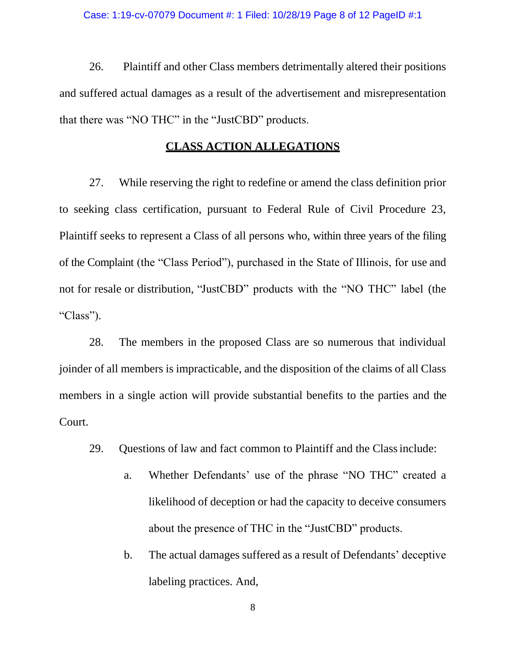26. Plaintiff and other Class members detrimentally altered their positions and suffered actual damages as a result of the advertisement and misrepresentation that there was "NO THC" in the "JustCBD" products.

## **CLASS ACTION ALLEGATIONS**

27. While reserving the right to redefine or amend the class definition prior to seeking class certification, pursuant to Federal Rule of Civil Procedure 23, Plaintiff seeks to represent a Class of all persons who, within three years of the filing of the Complaint (the "Class Period"), purchased in the State of Illinois, for use and not for resale or distribution, "JustCBD" products with the "NO THC" label (the "Class").

28. The members in the proposed Class are so numerous that individual joinder of all members is impracticable, and the disposition of the claims of all Class members in a single action will provide substantial benefits to the parties and the Court.

- 29. Questions of law and fact common to Plaintiff and the Classinclude:
	- a. Whether Defendants' use of the phrase "NO THC" created a likelihood of deception or had the capacity to deceive consumers about the presence of THC in the "JustCBD" products.
	- b. The actual damages suffered as a result of Defendants' deceptive labeling practices. And,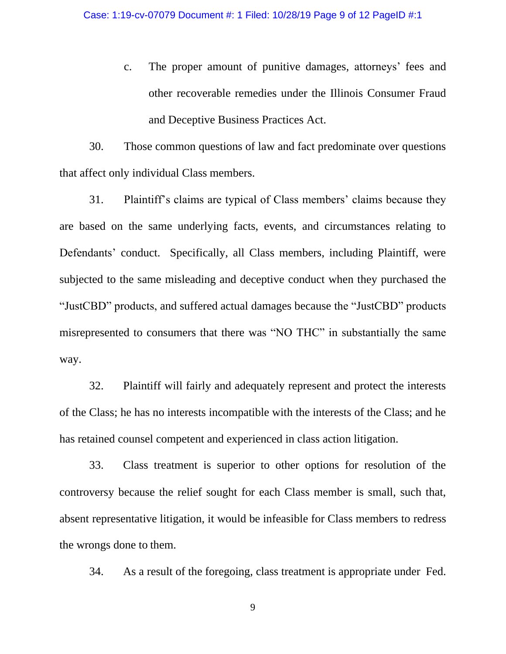c. The proper amount of punitive damages, attorneys' fees and other recoverable remedies under the Illinois Consumer Fraud and Deceptive Business Practices Act.

30. Those common questions of law and fact predominate over questions that affect only individual Class members.

31. Plaintiff's claims are typical of Class members' claims because they are based on the same underlying facts, events, and circumstances relating to Defendants' conduct. Specifically, all Class members, including Plaintiff, were subjected to the same misleading and deceptive conduct when they purchased the "JustCBD" products, and suffered actual damages because the "JustCBD" products misrepresented to consumers that there was "NO THC" in substantially the same way.

32. Plaintiff will fairly and adequately represent and protect the interests of the Class; he has no interests incompatible with the interests of the Class; and he has retained counsel competent and experienced in class action litigation.

33. Class treatment is superior to other options for resolution of the controversy because the relief sought for each Class member is small, such that, absent representative litigation, it would be infeasible for Class members to redress the wrongs done to them.

34. As a result of the foregoing, class treatment is appropriate under Fed.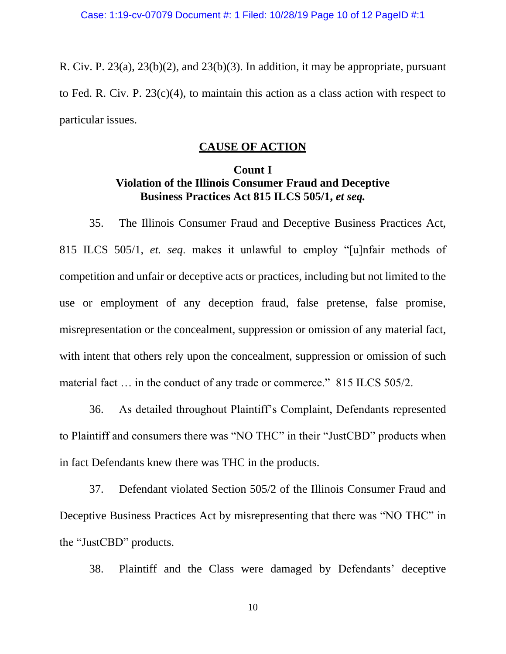R. Civ. P.  $23(a)$ ,  $23(b)(2)$ , and  $23(b)(3)$ . In addition, it may be appropriate, pursuant to Fed. R. Civ. P. 23(c)(4), to maintain this action as a class action with respect to particular issues.

# **CAUSE OF ACTION**

# **Count I Violation of the Illinois Consumer Fraud and Deceptive Business Practices Act 815 ILCS 505/1,** *et seq.*

35. The Illinois Consumer Fraud and Deceptive Business Practices Act, 815 ILCS 505/1, *et. seq*. makes it unlawful to employ "[u]nfair methods of competition and unfair or deceptive acts or practices, including but not limited to the use or employment of any deception fraud, false pretense, false promise, misrepresentation or the concealment, suppression or omission of any material fact, with intent that others rely upon the concealment, suppression or omission of such material fact ... in the conduct of any trade or commerce." 815 ILCS 505/2.

36. As detailed throughout Plaintiff's Complaint, Defendants represented to Plaintiff and consumers there was "NO THC" in their "JustCBD" products when in fact Defendants knew there was THC in the products.

37. Defendant violated Section 505/2 of the Illinois Consumer Fraud and Deceptive Business Practices Act by misrepresenting that there was "NO THC" in the "JustCBD" products.

38. Plaintiff and the Class were damaged by Defendants' deceptive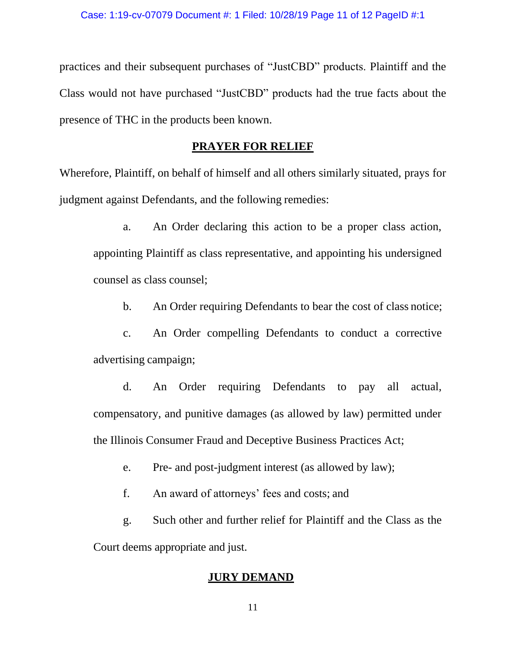practices and their subsequent purchases of "JustCBD" products. Plaintiff and the Class would not have purchased "JustCBD" products had the true facts about the presence of THC in the products been known.

## **PRAYER FOR RELIEF**

Wherefore, Plaintiff, on behalf of himself and all others similarly situated, prays for judgment against Defendants, and the following remedies:

a. An Order declaring this action to be a proper class action, appointing Plaintiff as class representative, and appointing his undersigned counsel as class counsel;

b. An Order requiring Defendants to bear the cost of class notice;

c. An Order compelling Defendants to conduct a corrective advertising campaign;

d. An Order requiring Defendants to pay all actual, compensatory, and punitive damages (as allowed by law) permitted under the Illinois Consumer Fraud and Deceptive Business Practices Act;

e. Pre- and post-judgment interest (as allowed by law);

f. An award of attorneys' fees and costs; and

g. Such other and further relief for Plaintiff and the Class as the Court deems appropriate and just.

## **JURY DEMAND**